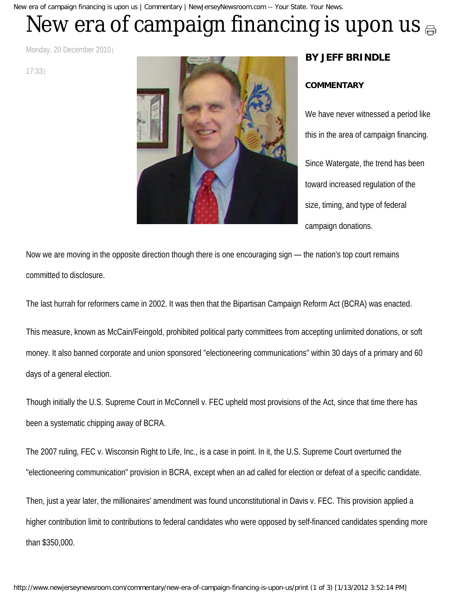New era of campaign financing is upon us | Commentary | NewJerseyNewsroom.com -- Your State. Your News.

## Newera of campaign financing is upon us  $_{\oplus}$

Monday, 20 December 2010

17:33



## **BY JEFF BRINDLE**

## **COMMENTARY**

We have never witnessed a period like this in the area of campaign financing. Since Watergate, the trend has been toward increased regulation of the size, timing, and type of federal campaign donations.

Now we are moving in the opposite direction though there is one encouraging sign — the nation's top court remains committed to disclosure.

The last hurrah for reformers came in 2002. It was then that the Bipartisan Campaign Reform Act (BCRA) was enacted.

This measure, known as McCain/Feingold, prohibited political party committees from accepting unlimited donations, or soft money. It also banned corporate and union sponsored "electioneering communications" within 30 days of a primary and 60 days of a general election.

Though initially the U.S. Supreme Court in McConnell v. FEC upheld most provisions of the Act, since that time there has been a systematic chipping away of BCRA.

The 2007 ruling, FEC v. Wisconsin Right to Life, Inc., is a case in point. In it, the U.S. Supreme Court overturned the "electioneering communication" provision in BCRA, except when an ad called for election or defeat of a specific candidate.

Then, just a year later, the millionaires' amendment was found unconstitutional in Davis v. FEC. This provision applied a higher contribution limit to contributions to federal candidates who were opposed by self-financed candidates spending more than \$350,000.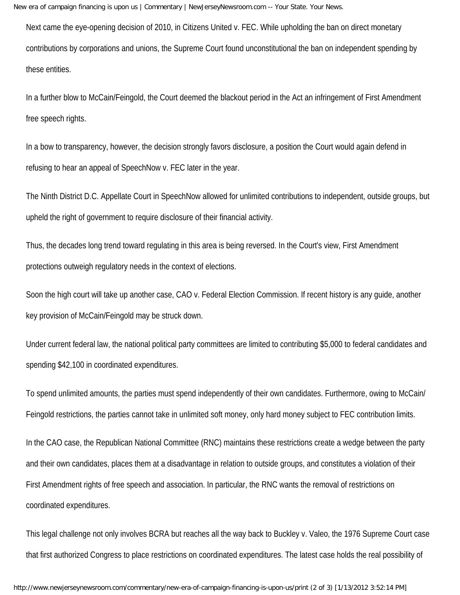New era of campaign financing is upon us | Commentary | NewJerseyNewsroom.com -- Your State. Your News.

Next came the eye-opening decision of 2010, in Citizens United v. FEC. While upholding the ban on direct monetary contributions by corporations and unions, the Supreme Court found unconstitutional the ban on independent spending by these entities.

In a further blow to McCain/Feingold, the Court deemed the blackout period in the Act an infringement of First Amendment free speech rights.

In a bow to transparency, however, the decision strongly favors disclosure, a position the Court would again defend in refusing to hear an appeal of SpeechNow v. FEC later in the year.

The Ninth District D.C. Appellate Court in SpeechNow allowed for unlimited contributions to independent, outside groups, but upheld the right of government to require disclosure of their financial activity.

Thus, the decades long trend toward regulating in this area is being reversed. In the Court's view, First Amendment protections outweigh regulatory needs in the context of elections.

Soon the high court will take up another case, CAO v. Federal Election Commission. If recent history is any guide, another key provision of McCain/Feingold may be struck down.

Under current federal law, the national political party committees are limited to contributing \$5,000 to federal candidates and spending \$42,100 in coordinated expenditures.

To spend unlimited amounts, the parties must spend independently of their own candidates. Furthermore, owing to McCain/ Feingold restrictions, the parties cannot take in unlimited soft money, only hard money subject to FEC contribution limits.

In the CAO case, the Republican National Committee (RNC) maintains these restrictions create a wedge between the party and their own candidates, places them at a disadvantage in relation to outside groups, and constitutes a violation of their First Amendment rights of free speech and association. In particular, the RNC wants the removal of restrictions on coordinated expenditures.

This legal challenge not only involves BCRA but reaches all the way back to Buckley v. Valeo, the 1976 Supreme Court case that first authorized Congress to place restrictions on coordinated expenditures. The latest case holds the real possibility of